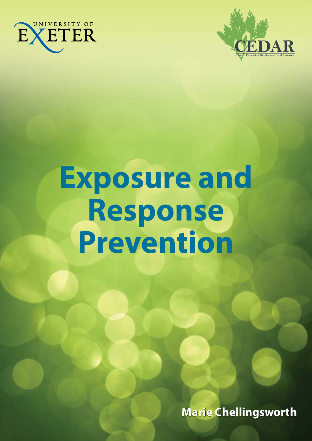



## **Exposure and Response Prevention**

**Marie Chellingsworth**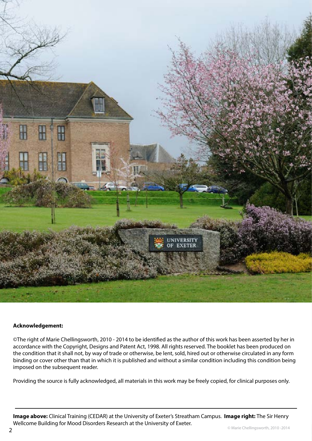

#### **Acknowledgement:**

©The right of Marie Chellingsworth, 2010 - 2014 to be identified as the author of this work has been asserted by her in accordance with the Copyright, Designs and Patent Act, 1998. All rights reserved. The booklet has been produced on the condition that it shall not, by way of trade or otherwise, be lent, sold, hired out or otherwise circulated in any form binding or cover other than that in which it is published and without a similar condition including this condition being imposed on the subsequent reader.

Providing the source is fully acknowledged, all materials in this work may be freely copied, for clinical purposes only.

O Marie Chellingsworth, 2010 -2014 **Image above:** Clinical Training (CEDAR) at the University of Exeter's Streatham Campus. **Image right:** The Sir Henry Wellcome Building for Mood Disorders Research at the University of Exeter.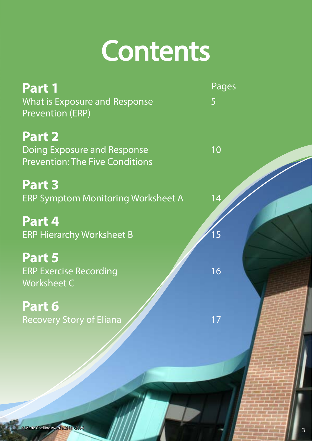## **Contents**

| Part 1                                                                       | Pages |  |
|------------------------------------------------------------------------------|-------|--|
| What is Exposure and Response<br><b>Prevention (ERP)</b>                     | 5     |  |
| Part 2                                                                       |       |  |
| <b>Doing Exposure and Response</b><br><b>Prevention: The Five Conditions</b> | 10    |  |
| Part 3                                                                       |       |  |
| <b>ERP Symptom Monitoring Worksheet A</b>                                    | 14    |  |
| Part 4                                                                       |       |  |
| <b>ERP Hierarchy Worksheet B</b>                                             | 15    |  |
| Part 5<br><b>ERP Exercise Recording</b><br><b>Worksheet C</b>                | 16    |  |
| Part 6                                                                       |       |  |
| <b>Recovery Story of Eliana</b>                                              |       |  |
|                                                                              |       |  |
|                                                                              |       |  |
|                                                                              |       |  |
|                                                                              |       |  |

4

© Marie Chellingsworth, 2010 -2014

3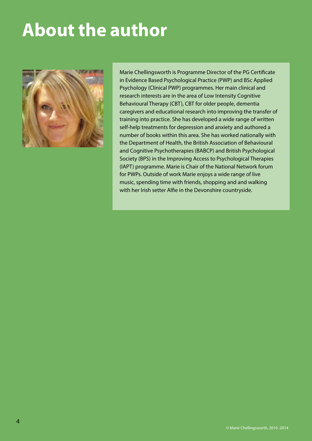## **About the author**



Marie Chellingsworth is Programme Director of the PG Certificate in Evidence Based Psychological Practice (PWP) and BSc Applied Psychology (Clinical PWP) programmes. Her main clinical and research interests are in the area of Low Intensity Cognitive Behavioural Therapy (CBT), CBT for older people, dementia caregivers and educational research into improving the transfer of training into practice. She has developed a wide range of written self-help treatments for depression and anxiety and authored a number of books within this area. She has worked nationally with the Department of Health, the British Association of Behavioural and Cognitive Psychotherapies (BABCP) and British Psychological Society (BPS) in the Improving Access to Psychological Therapies (IAPT) programme. Marie is Chair of the National Network forum for PWPs. Outside of work Marie enjoys a wide range of live music, spending time with friends, shopping and and walking with her Irish setter Alfie in the Devonshire countryside.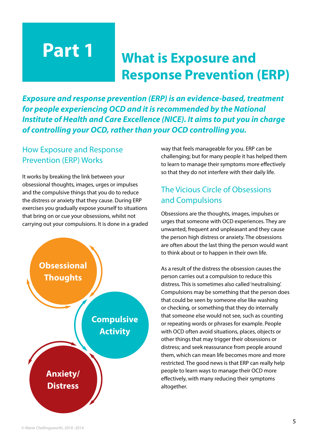## **What is Exposure and Response Prevention (ERP)**

*Exposure and response prevention (ERP) is an evidence-based, treatment for people experiencing OCD and it is recommended by the National Institute of Health and Care Excellence (NICE). It aims to put you in charge of controlling your OCD, rather than your OCD controlling you.*

#### How Exposure and Response Prevention (ERP) Works

It works by breaking the link between your obsessional thoughts, images, urges or impulses and the compulsive things that you do to reduce the distress or anxiety that they cause. During ERP exercises you gradually expose yourself to situations that bring on or cue your obsessions, whilst not carrying out your compulsions. It is done in a graded



way that feels manageable for you. ERP can be challenging; but for many people it has helped them to learn to manage their symptoms more effectively so that they do not interfere with their daily life.

#### The Vicious Circle of Obsessions and Compulsions

Obsessions are the thoughts, images, impulses or urges that someone with OCD experiences. They are unwanted, frequent and unpleasant and they cause the person high distress or anxiety. The obsessions are often about the last thing the person would want to think about or to happen in their own life.

As a result of the distress the obsession causes the person carries out a compulsion to reduce this distress. This is sometimes also called 'neutralising'. Compulsions may be something that the person does that could be seen by someone else like washing or checking, or something that they do internally that someone else would not see, such as counting or repeating words or phrases for example. People with OCD often avoid situations, places, objects or other things that may trigger their obsessions or distress; and seek reassurance from people around them, which can mean life becomes more and more restricted. The good news is that ERP can really help people to learn ways to manage their OCD more effectively, with many reducing their symptoms altogether.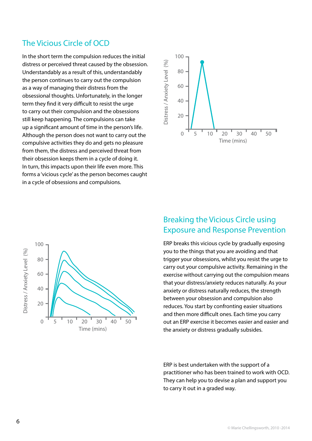#### The Vicious Circle of OCD

In the short term the compulsion reduces the initial distress or perceived threat caused by the obsession. Understandably as a result of this, understandably the person continues to carry out the compulsion as a way of managing their distress from the obsessional thoughts. Unfortunately, in the longer term they find it very difficult to resist the urge to carry out their compulsion and the obsessions still keep happening. The compulsions can take up a significant amount of time in the person's life. Although the person does not want to carry out the compulsive activities they do and gets no pleasure from them, the distress and perceived threat from their obsession keeps them in a cycle of doing it. In turn, this impacts upon their life even more. This forms a 'vicious cycle' as the person becomes caught in a cycle of obsessions and compulsions.





#### Breaking the Vicious Circle using Exposure and Response Prevention

ERP breaks this vicious cycle by gradually exposing you to the things that you are avoiding and that trigger your obsessions, whilst you resist the urge to carry out your compulsive activity. Remaining in the exercise without carrying out the compulsion means that your distress/anxiety reduces naturally. As your anxiety or distress naturally reduces, the strength between your obsession and compulsion also reduces. You start by confronting easier situations and then more difficult ones. Each time you carry out an ERP exercise it becomes easier and easier and the anxiety or distress gradually subsides.

ERP is best undertaken with the support of a practitioner who has been trained to work with OCD. They can help you to devise a plan and support you to carry it out in a graded way.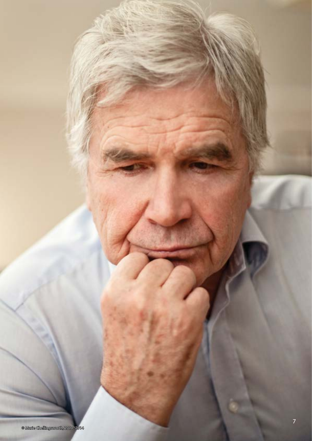© Marie Chellingsworth, 2010 -2014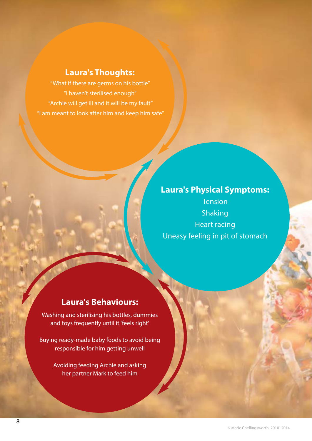#### **Laura's Thoughts:**

"What if there are germs on his bottle" "I haven't sterilised enough" "Archie will get ill and it will be my fault" "I am meant to look after him and keep him safe"

#### **Laura's Physical Symptoms:**

**Tension** Shaking Heart racing Uneasy feeling in pit of stomach

#### **Laura's Behaviours:**

Washing and sterilising his bottles, dummies and toys frequently until it 'feels right'

Buying ready-made baby foods to avoid being responsible for him getting unwell

> Avoiding feeding Archie and asking her partner Mark to feed him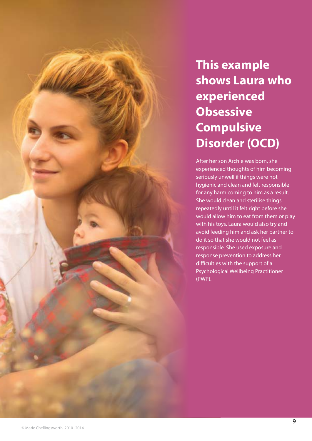### **This example shows Laura who experienced Obsessive Compulsive Disorder (OCD)**

After her son Archie was born, she experienced thoughts of him becoming seriously unwell if things were not hygienic and clean and felt responsible for any harm coming to him as a result. She would clean and sterilise things repeatedly until it felt right before she would allow him to eat from them or play with his toys. Laura would also try and avoid feeding him and ask her partner to do it so that she would not feel as responsible. She used exposure and response prevention to address her difficulties with the support of a Psychological Wellbeing Practitioner (PWP).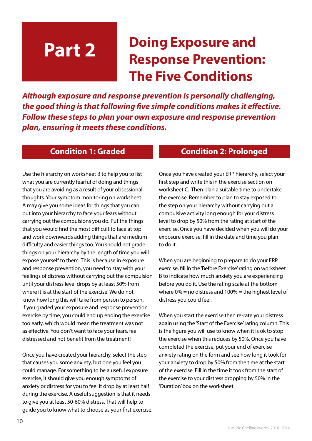## **Doing Exposure and Response Prevention: The Five Conditions**

*Although exposure and response prevention is personally challenging, the good thing is that following five simple conditions makes it effective. Follow these steps to plan your own exposure and response prevention plan, ensuring it meets these conditions.*

#### **Condition 1: Graded**

**Part 2**

Use the hierarchy on worksheet B to help you to list what you are currently fearful of doing and things that you are avoiding as a result of your obsessional thoughts. Your symptom monitoring on worksheet A may give you some ideas for things that you can put into your hierarchy to face your fears without carrying out the compulsions you do. Put the things that you would find the most difficult to face at top and work downwards adding things that are medium difficulty and easier things too. You should not grade things on your hierarchy by the length of time you will expose yourself to them. This is because in exposure and response prevention, you need to stay with your feelings of distress without carrying out the compulsion until your distress level drops by at least 50% from where it is at the start of the exercise. We do not know how long this will take from person to person. If you graded your exposure and response prevention exercise by time, you could end up ending the exercise too early, which would mean the treatment was not as effective. You don't want to face your fears, feel distressed and not benefit from the treatment!

Once you have created your hierarchy, select the step that causes you some anxiety, but one you feel you could manage. For something to be a useful exposure exercise, it should give you enough symptoms of anxiety or distress for you to feel it drop by at least half during the exercise. A useful suggestion is that it needs to give you at least 50-60% distress. That will help to guide you to know what to choose as your first exercise.

#### **Condition 2: Prolonged**

Once you have created your ERP hierarchy, select your first step and write this in the exercise section on worksheet C. Then plan a suitable time to undertake the exercise. Remember to plan to stay exposed to the step on your hierarchy without carrying out a compulsive activity long enough for your distress level to drop by 50% from the rating at start of the exercise. Once you have decided when you will do your exposure exercise, fill in the date and time you plan to do it.

When you are beginning to prepare to do your ERP exercise, fill in the 'Before Exercise' rating on worksheet B to indicate how much anxiety you are experiencing before you do it. Use the rating scale at the bottom where 0% = no distress and 100% = the highest level of distress you could feel.

When you start the exercise then re-rate your distress again using the 'Start of the Exercise' rating column. This is the figure you will use to know when it is ok to stop the exercise when this reduces by 50%. Once you have completed the exercise, put your end of exercise anxiety rating on the form and see how long it took for your anxiety to drop by 50% from the time at the start of the exercise. Fill in the time it took from the start of the exercise to your distress dropping by 50% in the 'Duration' box on the worksheet.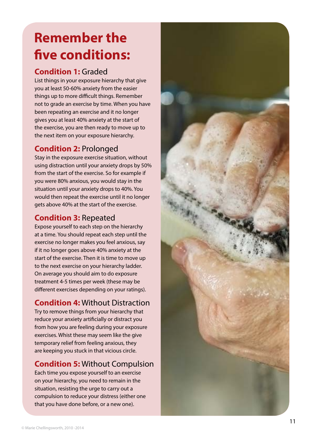## **Remember the five conditions:**

#### **Condition 1:** Graded

List things in your exposure hierarchy that give you at least 50-60% anxiety from the easier things up to more difficult things. Remember not to grade an exercise by time. When you have been repeating an exercise and it no longer gives you at least 40% anxiety at the start of the exercise, you are then ready to move up to the next item on your exposure hierarchy.

#### **Condition 2:** Prolonged

Stay in the exposure exercise situation, without using distraction until your anxiety drops by 50% from the start of the exercise. So for example if you were 80% anxious, you would stay in the situation until your anxiety drops to 40%. You would then repeat the exercise until it no longer gets above 40% at the start of the exercise.

#### **Condition 3:** Repeated

Expose yourself to each step on the hierarchy at a time. You should repeat each step until the exercise no longer makes you feel anxious, say if it no longer goes above 40% anxiety at the start of the exercise. Then it is time to move up to the next exercise on your hierarchy ladder. On average you should aim to do exposure treatment 4-5 times per week (these may be different exercises depending on your ratings).

#### **Condition 4:** Without Distraction

Try to remove things from your hierarchy that reduce your anxiety artificially or distract you from how you are feeling during your exposure exercises. Whist these may seem like the give temporary relief from feeling anxious, they are keeping you stuck in that vicious circle.

#### **Condition 5:** Without Compulsion

Each time you expose yourself to an exercise on your hierarchy, you need to remain in the situation, resisting the urge to carry out a compulsion to reduce your distress (either one that you have done before, or a new one).

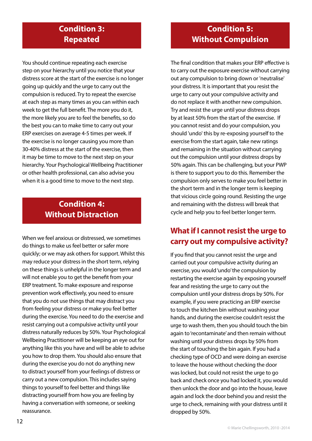#### **Condition 3: Repeated**

You should continue repeating each exercise step on your hierarchy until you notice that your distress score at the start of the exercise is no longer going up quickly and the urge to carry out the compulsion is reduced. Try to repeat the exercise at each step as many times as you can within each week to get the full benefit. The more you do it, the more likely you are to feel the benefits, so do the best you can to make time to carry out your ERP exercises on average 4-5 times per week. If the exercise is no longer causing you more than 30-40% distress at the start of the exercise, then it may be time to move to the next step on your hierarchy. Your Psychological Wellbeing Practitioner or other health professional, can also advise you when it is a good time to move to the next step.

#### **Condition 4: Without Distraction**

When we feel anxious or distressed, we sometimes do things to make us feel better or safer more quickly; or we may ask others for support. Whilst this may reduce your distress in the short term, relying on these things is unhelpful in the longer term and will not enable you to get the benefit from your ERP treatment. To make exposure and response prevention work effectively, you need to ensure that you do not use things that may distract you from feeling your distress or make you feel better during the exercise. You need to do the exercise and resist carrying out a compulsive activity until your distress naturally reduces by 50%. Your Psychological Wellbeing Practitioner will be keeping an eye out for anything like this you have and will be able to advise you how to drop them. You should also ensure that during the exercise you do not do anything new to distract yourself from your feelings of distress or carry out a new compulsion. This includes saying things to yourself to feel better and things like distracting yourself from how you are feeling by having a conversation with someone, or seeking reassurance.

#### **Condition 5: Without Compulsion**

The final condition that makes your ERP effective is to carry out the exposure exercise without carrying out any compulsion to bring down or 'neutralise' your distress. It is important that you resist the urge to carry out your compulsive activity and do not replace it with another new compulsion. Try and resist the urge until your distress drops by at least 50% from the start of the exercise. If you cannot resist and do your compulsion, you should 'undo' this by re-exposing yourself to the exercise from the start again, take new ratings and remaining in the situation without carrying out the compulsion until your distress drops by 50% again. This can be challenging, but your PWP is there to support you to do this. Remember the compulsion only serves to make you feel better in the short term and in the longer term is keeping that vicious circle going round. Resisting the urge and remaining with the distress will break that cycle and help you to feel better longer term.

#### **What if I cannot resist the urge to carry out my compulsive activity?**

If you find that you cannot resist the urge and carried out your compulsive activity during an exercise, you would 'undo' the compulsion by restarting the exercise again by exposing yourself fear and resisting the urge to carry out the compulsion until your distress drops by 50%. For example, if you were practicing an ERP exercise to touch the kitchen bin without washing your hands, and during the exercise couldn't resist the urge to wash them, then you should touch the bin again to 'recontaminate' and then remain without washing until your distress drops by 50% from the start of touching the bin again. If you had a checking type of OCD and were doing an exercise to leave the house without checking the door was locked, but could not resist the urge to go back and check once you had locked it, you would then unlock the door and go into the house, leave again and lock the door behind you and resist the urge to check, remaining with your distress until it dropped by 50%.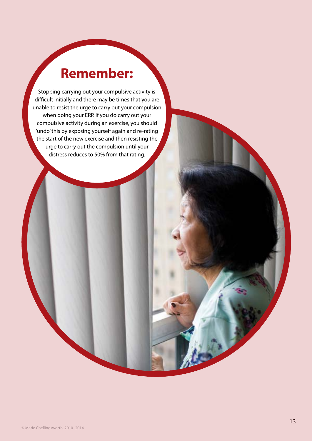#### **Remember:**

Stopping carrying out your compulsive activity is difficult initially and there may be times that you are unable to resist the urge to carry out your compulsion when doing your ERP. If you do carry out your compulsive activity during an exercise, you should 'undo' this by exposing yourself again and re-rating the start of the new exercise and then resisting the urge to carry out the compulsion until your distress reduces to 50% from that rating.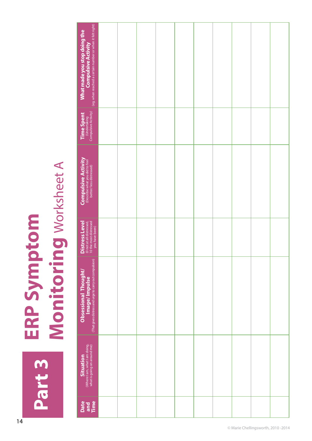## Monitoring worksheet A **Monitoring** Worksheet A ERP Symptom **ERP Symptom**

| What made you stop doing the<br><b>Compulsive Activity</b>                              | (eg. when reached a certain number or when it felt right) |  |  |  |  |  |
|-----------------------------------------------------------------------------------------|-----------------------------------------------------------|--|--|--|--|--|
| (Undertaking<br>Compulsive Activity)<br><b>Time Spent</b>                               |                                                           |  |  |  |  |  |
| <b>Compulsive Activity</b><br>(Describe what you did to feel<br>better/less distressed) |                                                           |  |  |  |  |  |
| (0 not at all distressed,<br>10 the most distressed<br><b>Distress Level</b>            | you have been)                                            |  |  |  |  |  |
| Obsessional Thought/<br>Image/Impulse                                                   | (That gives distress and urge to carry out compulsion)    |  |  |  |  |  |
| (Where I am, what I am doing,<br>what is going on around me)<br>Situation               |                                                           |  |  |  |  |  |
| Date<br>and<br>Time                                                                     |                                                           |  |  |  |  |  |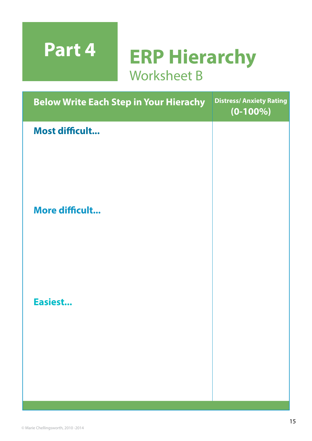

## **ERP Hierarchy** Worksheet B

| <b>Below Write Each Step in Your Hierachy</b> | <b>Distress/ Anxiety Rating</b><br>$(0-100\%)$ |
|-----------------------------------------------|------------------------------------------------|
| <b>Most difficult</b>                         |                                                |
| <b>More difficult</b>                         |                                                |
| Easiest                                       |                                                |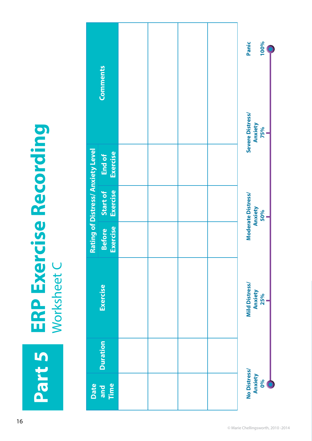# ERP Exercise Recording<br>Worksheet C **ERP Exercise Recording** Worksheet C

|                                          | <b>Comments</b>                  |  |  | Panic<br>100%                        |
|------------------------------------------|----------------------------------|--|--|--------------------------------------|
|                                          |                                  |  |  | Severe Distress/<br>Anxiety<br>75%   |
|                                          | <b>Exercise</b><br>End of        |  |  |                                      |
| <b>Rating of Distress/ Anxiety Level</b> | <b>Exercise</b><br>Start of      |  |  | Moderate Distress/<br>Anxiety<br>50% |
|                                          | <b>Exercise</b><br><b>Before</b> |  |  |                                      |
|                                          | <b>Exercise</b>                  |  |  | Mild Distress/<br>Anxiety<br>25%     |
|                                          | <b>Duration</b>                  |  |  |                                      |
|                                          | Date<br>and<br>Time              |  |  | No Distress/<br>Anxiety<br>0%        |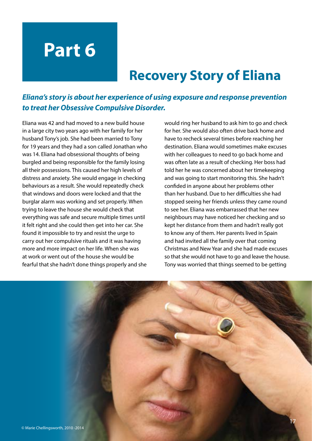### **Recovery Story of Eliana**

#### *Eliana's story is about her experience of using exposure and response prevention to treat her Obsessive Compulsive Disorder.*

Eliana was 42 and had moved to a new build house in a large city two years ago with her family for her husband Tony's job. She had been married to Tony for 19 years and they had a son called Jonathan who was 14. Eliana had obsessional thoughts of being burgled and being responsible for the family losing all their possessions. This caused her high levels of distress and anxiety. She would engage in checking behaviours as a result. She would repeatedly check that windows and doors were locked and that the burglar alarm was working and set properly. When trying to leave the house she would check that everything was safe and secure multiple times until it felt right and she could then get into her car. She found it impossible to try and resist the urge to carry out her compulsive rituals and it was having more and more impact on her life. When she was at work or went out of the house she would be fearful that she hadn't done things properly and she

would ring her husband to ask him to go and check for her. She would also often drive back home and have to recheck several times before reaching her destination. Eliana would sometimes make excuses with her colleagues to need to go back home and was often late as a result of checking. Her boss had told her he was concerned about her timekeeping and was going to start monitoring this. She hadn't confided in anyone about her problems other than her husband. Due to her difficulties she had stopped seeing her friends unless they came round to see her. Eliana was embarrassed that her new neighbours may have noticed her checking and so kept her distance from them and hadn't really got to know any of them. Her parents lived in Spain and had invited all the family over that coming Christmas and New Year and she had made excuses so that she would not have to go and leave the house. Tony was worried that things seemed to be getting

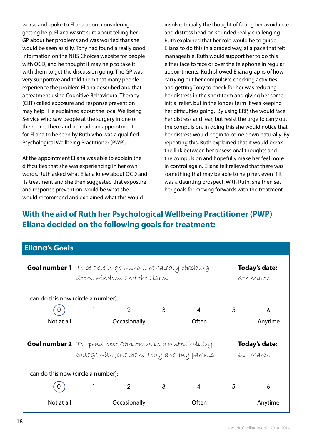worse and spoke to Eliana about considering getting help. Eliana wasn't sure about telling her GP about her problems and was worried that she would be seen as silly. Tony had found a really good information on the NHS Choices website for people with OCD, and he thought it may help to take it with them to get the discussion going. The GP was very supportive and told them that many people experience the problem Eliana described and that a treatment using Cognitive Behavioural Therapy (CBT) called exposure and response prevention may help. He explained about the local Wellbeing Service who saw people at the surgery in one of the rooms there and he made an appointment for Eliana to be seen by Ruth who was a qualified Psychological Wellbeing Practitioner (PWP).

At the appointment Eliana was able to explain the difficulties that she was experiencing in her own words. Ruth asked what Eliana knew about OCD and its treatment and she then suggested that exposure and response prevention would be what she would recommend and explained what this would

involve. Initially the thought of facing her avoidance and distress head on sounded really challenging. Ruth explained that her role would be to guide Eliana to do this in a graded way, at a pace that felt manageable. Ruth would support her to do this either face to face or over the telephone in regular appointments. Ruth showed Eliana graphs of how carrying out her compulsive checking activities and getting Tony to check for her was reducing her distress in the short term and giving her some initial relief, but in the longer term it was keeping her difficulties going. By using ERP, she would face her distress and fear, but resist the urge to carry out the compulsion. In doing this she would notice that her distress would begin to come down naturally. By repeating this, Ruth explained that it would break the link between her obsessional thoughts and the compulsion and hopefully make her feel more in control again. Eliana felt relieved that there was something that may be able to help her, even if it was a daunting prospect. With Ruth, she then set her goals for moving forwards with the treatment.

#### **With the aid of Ruth her Psychological Wellbeing Practitioner (PWP) Eliana decided on the following goals for treatment:**

| <b>Eliana's Goals</b>                                             |                                      |                                            |                                   |                |   |         |  |  |  |  |
|-------------------------------------------------------------------|--------------------------------------|--------------------------------------------|-----------------------------------|----------------|---|---------|--|--|--|--|
| <b>Goal number 1</b> To be able to go without repeatedly checking |                                      | doors, windows and the alarm               | Today's date:<br>6th March        |                |   |         |  |  |  |  |
|                                                                   | I can do this now (circle a number): |                                            |                                   |                |   |         |  |  |  |  |
|                                                                   |                                      | 2                                          | 3                                 | $\overline{4}$ | 5 | 6       |  |  |  |  |
| Not at all                                                        |                                      | Occasionally                               |                                   | Often          |   | Anytime |  |  |  |  |
| <b>Goal number 2</b> To spend next Christmas in a rented holiday  |                                      | cottage with Jonathan, Tony and my parents | <b>Today's date:</b><br>6th March |                |   |         |  |  |  |  |
| can do this now (circle a number):                                |                                      |                                            |                                   |                |   |         |  |  |  |  |
|                                                                   |                                      | $\overline{2}$                             | 3                                 | 4              | 5 | 6       |  |  |  |  |
| Not at all                                                        |                                      | Occasionally                               |                                   | Often          |   | Anytime |  |  |  |  |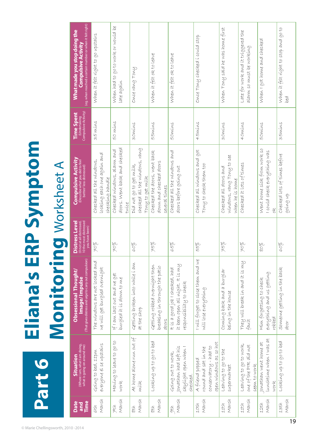## Eliana's ERP Symptom<br>Monitoring <sub>Worksheet A</sub> **Eliana's ERP Symptom Monitoring** Worksheet A

| eg, when reached a certain number or when it felt right)<br>What made you stop doing the<br><b>Compulsive Activity</b> | When it felt right to go upstairs                                        | When had to go to work or would be<br>Late again                    | Once rang Tony                                                                 | When it felt ok to leave                                                   | When it felt ok to leave                                                                       | Once Tony checked i could stop                                                             | When Tony said he was home first                                      | Late for work and it triggered the<br>alarm so must be working   | When I got home and checked                                                  | When it felt night to stop and go to<br>bed |
|------------------------------------------------------------------------------------------------------------------------|--------------------------------------------------------------------------|---------------------------------------------------------------------|--------------------------------------------------------------------------------|----------------------------------------------------------------------------|------------------------------------------------------------------------------------------------|--------------------------------------------------------------------------------------------|-----------------------------------------------------------------------|------------------------------------------------------------------|------------------------------------------------------------------------------|---------------------------------------------|
| Compulsive Activity)<br><b>Time Spent</b><br>(Undertaking                                                              | 35 mins                                                                  | 50 mins                                                             | <b>SOMÍNS</b>                                                                  | 55mins                                                                     | <b>50mins</b>                                                                                  | 45mins                                                                                     | <b>SOMINIS</b>                                                        | 40mins                                                           | <b>50mins</b>                                                                | <b>35mins</b>                               |
| <b>Compulsive Activity</b><br>(Describe what you did to feel<br>better/ less distressed)                               | ocking each one again and<br>Checked all the windows,<br>checking handle | doors. Went back and checked<br>Checked windows, alarm and<br>twice | checked all the windows, rang<br>Díd not go to get mille,<br>Tony to get mille | went back<br>down and checked doors<br>Checked the doors,<br>several times | Checked all the windows and<br>doors before going out                                          | Checked all windows and got<br>Tony to check them too                                      | windows, rang Tony to see<br>Checked all doors and<br>when he is home | Checked it lots of times                                         | Went home sick from work so<br>I could check everything was<br>$\frac{8}{2}$ | Checked lots of times before<br>going up    |
| 10 the most distressed<br><b>Distress Level</b><br>O not at all distressed<br>you have been)                           | FOL                                                                      | $70\%$                                                              | 90%                                                                            | 75%                                                                        | 999                                                                                            | 55%                                                                                        | 75%                                                                   | $70\%$                                                           | $\mathcal{SO}^\mathscr{D}_\mathscr{C}$                                       | 90%                                         |
| (That gives distress and urge to carry out compulsion)<br>Obsessional Thought,<br>Image/Impulse                        | The windows are not locked and<br>we will get burgled overwight          | If I am last out and we get<br>burgled it is down to me             | Getting broken into while i am<br>at the shop                                  | Getting robbed overnight then<br>breaking in through the patio<br>doors    | it been open all night. It is my<br>It is a good job I checked, had<br>responsibility to check | I will forget to close them and we<br>will lose everything                                 | Coming back and a burglar<br>being in the house                       | They will break in and it is my<br>fault                         | Him forgetting to check<br>everything and us getting<br>robbed               | Someone getting in the back<br>door         |
| (Where I am, what I am doing,<br>what is going on around me)<br>Situation                                              | everyone el se upstairs<br>Going to bed, IIPM                            | Having to leave to go to<br>work                                    | At home alone run out of<br>mille                                              | Locking up to go to bed                                                    | skyllight open when I<br>Jonathan had left his<br>Going out to work,<br>checked.               | open windows as so hot<br>conservatory - had to<br>round and sat in the<br>A friend popped | Leaving to go to the<br>supermarket                                   | Leaving to go to work,<br>one of the PIR did not<br>seem to work | Lunchtime when I was at<br>Jonathan went home at<br>work                     | Looking up to go to bed                     |
| Time<br>Date<br><b>Dure</b>                                                                                            | March<br>$6t$ h                                                          | March<br>光                                                          | March<br>$rac{1}{8}$                                                           | March<br>$rac{1}{8}$                                                       | March<br>9th                                                                                   | March<br>10th                                                                              | March<br><b>11th</b>                                                  | March<br>11th                                                    | March<br>12th                                                                | March<br>13th                               |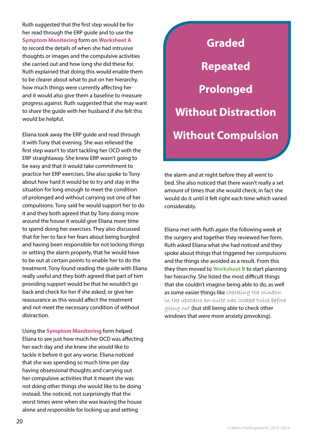Ruth suggested that the first step would be for her read through the ERP guide and to use the **Symptom Monitoring** form on **Worksheet A**  to record the details of when she had intrusive thoughts or images and the compulsive activities she carried out and how long she did these for. Ruth explained that doing this would enable them to be clearer about what to put on her hierarchy, how much things were currently affecting her and it would also give them a baseline to measure progress against. Ruth suggested that she may want to share the guide with her husband if she felt this would be helpful.

Eliana took away the ERP guide and read through it with Tony that evening. She was relieved the first step wasn't to start tackling her OCD with the ERP straightaway. She knew ERP wasn't going to be easy and that it would take commitment to practice her ERP exercises. She also spoke to Tony about how hard it would be to try and stay in the situation for long enough to meet the condition of prolonged and without carrying out one of her compulsions. Tony said he would support her to do it and they both agreed that by Tony doing more around the house it would give Eliana more time to spend doing her exercises. They also discussed that for her to face her fears about being burgled and having been responsible for not locking things or setting the alarm properly, that he would have to be out at certain points to enable her to do the treatment. Tony found reading the guide with Eliana really useful and they both agreed that part of him providing support would be that he wouldn't go back and check for her if she asked; or give her reassurance as this would affect the treatment and not meet the necessary condition of without distraction.

Using the **Symptom Monitoring** form helped Eliana to see just how much her OCD was affecting her each day and she knew she would like to tackle it before it got any worse. Eliana noticed that she was spending so much time per day having obsessional thoughts and carrying out her compulsive activities that it meant she was not doing other things she would like to be doing instead. She noticed, not surprisingly that the worst times were when she was leaving the house alone and responsible for locking up and setting



the alarm and at night before they all went to bed. She also noticed that there wasn't really a set amount of times that she would check; in fact she would do it until it felt right each time which varied considerably.

Eliana met with Ruth again the following week at the surgery and together they reviewed her form. Ruth asked Eliana what she had noticed and they spoke about things that triggered her compulsions and the things she avoided as a result. From this they then moved to **Worksheet B** to start planning her hierarchy. She listed the most difficult things that she couldn't imagine being able to do, as well as some easier things like checking the window in the upstairs en-suite was locked twice before going out (but still being able to check other windows that were more anxiety provoking).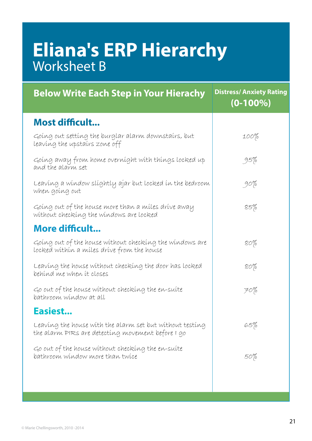## **Eliana's ERP Hierarchy** Worksheet B

| <b>Below Write Each Step in Your Hierachy</b>                                                                 | <b>Distress/ Anxiety Rating</b><br>$(0-100\%)$ |
|---------------------------------------------------------------------------------------------------------------|------------------------------------------------|
| <b>Most difficult</b>                                                                                         |                                                |
| Going out setting the burglar alarm downstairs, but<br>Leaving the upstairs zone off                          | 100%                                           |
| Going away from home overnight with things locked up<br>and the alarm set                                     | 95%                                            |
| Leaving a window slightly ajar but locked in the bedroom<br>when going out                                    | ,90%                                           |
| Going out of the house more than a miles drive away<br>without checking the windows are locked                | 85%                                            |
| More difficult                                                                                                |                                                |
| Going out of the house without checking the windows are<br>Locked within a miles drive from the house         | 80%                                            |
| Leaving the house without checking the door has locked<br>behind me when it closes                            | 80%                                            |
| Go out of the house without checking the en-suite<br>bathroom window at all                                   | 70%                                            |
| Easiest                                                                                                       |                                                |
| Leaving the house with the alarm set but without testing<br>the alarm PIRs are detecting movement before I go | 65%                                            |
| Go out of the house without checking the en-suite<br>bathroom window more than twice                          | 50%                                            |
|                                                                                                               |                                                |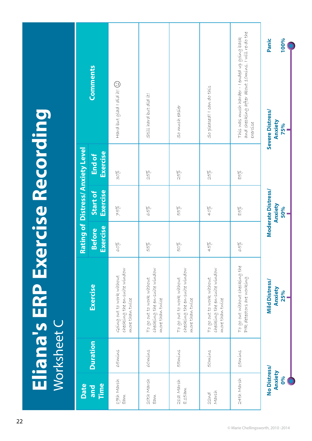Eliana's ERP Exercise Recording **Eliana's ERP Exercise Recording** Worksheet C

|                                  | <b>Comments</b>             |                                                                              |                                                                              |                                                                              |                                                                              |                                                                                                               | 100%<br>Panic                           |
|----------------------------------|-----------------------------|------------------------------------------------------------------------------|------------------------------------------------------------------------------|------------------------------------------------------------------------------|------------------------------------------------------------------------------|---------------------------------------------------------------------------------------------------------------|-----------------------------------------|
|                                  |                             | Hard but glad I did it! $\odot$                                              | Still hard but did it!                                                       | So much easier                                                               | So pleased! I can do this                                                    | and checking after about IOmins. I will re-do the<br>This was much harder - I ended up going back<br>exercise | Severe Distress/<br>Anxiety<br>75%      |
|                                  | Exercise<br>End of          | $30\%$                                                                       | 25%                                                                          | 25%                                                                          | 25%                                                                          | 85%                                                                                                           |                                         |
| Rating of Distress/Anxiety Level | <b>Exercise</b><br>Start of | 75%                                                                          | 999                                                                          | 55%                                                                          | 40%                                                                          | 85%                                                                                                           | Moderate Distress/<br>Anxiety<br>50%    |
|                                  | Exercise<br><b>Before</b>   | 209                                                                          | 55%                                                                          | 50%                                                                          | 45%                                                                          | 999                                                                                                           |                                         |
|                                  | <b>Exercise</b>             | checking the en-suite window<br>Going out to work without<br>more than twice | checking the en-suite window<br>To go out to work without<br>more than twice | checking the en-suite window<br>To go out to work without<br>more than twice | checking the en-suite window<br>To go out to work without<br>more than twice | To go out without checking the<br>PIR detectors are working                                                   | <b>Mild Distress/</b><br>Anxiety<br>25% |
|                                  | <b>Duration</b>             | ESMINS                                                                       | GOMLINS                                                                      | 55mins                                                                       | <b>50mins</b>                                                                | 15mins                                                                                                        |                                         |
| <b>Date</b>                      | Time<br>and                 | 19th March<br>Sam                                                            | 20th March<br>8am                                                            | 21st March<br>8.15am                                                         | March<br>22M                                                                 | 24th March                                                                                                    | No Distress/<br>Anxiety<br>0%           |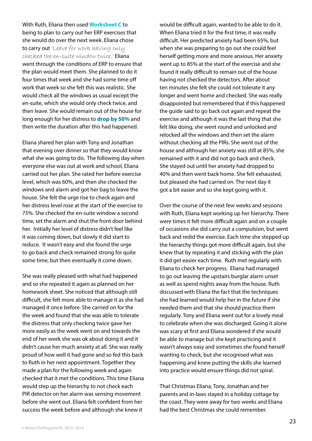With Ruth, Eliana then used **Worksheet C** to being to plan to carry out her ERP exercises that she would do over the next week. Eliana chose to carry out 'Leave for work having only checked the en-suite window twice.' Eliana went through the conditions of ERP to ensure that the plan would meet them. She planned to do it four times that week and she had some time off work that week so she felt this was realistic. She would check all the windows as usual except the en-suite, which she would only check twice, and then leave. She would remain out of the house for long enough for her distress to **drop by 50%** and then write the duration after this had happened.

Eliana shared her plan with Tony and Jonathan that evening over dinner so that they would know what she was going to do. The following day when everyone else was out at work and school, Eliana carried out her plan. She rated her before exercise level, which was 60%, and then she checked the windows and alarm and got her bag to leave the house. She felt the urge rise to check again and her distress level rose at the start of the exercise to 75%. She checked the en-suite window a second time, set the alarm and shut the front door behind her. Initially her level of distress didn't feel like it was coming down, but slowly it did start to reduce. It wasn't easy and she found the urge to go back and check remained strong for quite some time, but then eventually it come down.

She was really pleased with what had happened and so she repeated it again as planned on her homework sheet. She noticed that although still difficult, she felt more able to manage it as she had managed it once before. She carried on for the the week and found that she was able to tolerate the distress that only checking twice gave her more easily as the week went on and towards the end of her week she was ok about doing it and it didn't cause her much anxiety at all. She was really proud of how well it had gone and so fed this back to Ruth in her next appointment. Together they made a plan for the following week and again checked that it met the conditions. This time Eliana would step up the hierarchy to not check each PIR detector on her alarm was sensing movement before she went out. Eliana felt confident from her success the week before and although she knew it

would be difficult again, wanted to be able to do it. When Eliana tried it for the first time, it was really difficult. Her predicted anxiety had been 65%, but when she was preparing to go out she could feel herself getting more and more anxious. Her anxiety went up to 85% at the start of the exercise and she found it really difficult to remain out of the house having not checked the detectors. After about ten minutes she felt she could not tolerate it any longer and went home and checked. She was really disappointed but remembered that if this happened the guide said to go back out again and repeat the exercise and although it was the last thing that she felt like doing, she went round and unlocked and relocked all the windows and then set the alarm without checking all the PIRs. She went out of the house and although her anxiety was still at 85%, she remained with it and did not go back and check. She stayed out until her anxiety had dropped to 40% and then went back home. She felt exhausted, but pleased she had carried on. The next day it got a bit easier and so she kept going with it.

Over the course of the next few weeks and sessions with Ruth, Eliana kept working up her hierarchy. There were times it felt more difficult again and on a couple of occasions she did carry out a compulsion, but went back and redid the exercise. Each time she stepped up the hierarchy things got more difficult again, but she knew that by repeating it and sticking with the plan it did get easier each time. Ruth met regularly with Eliana to check her progress. Eliana had managed to go out leaving the upstairs burglar alarm unset as well as spend nights away from the house. Ruth discussed with Eliana the fact that the techniques she had learned would help her in the future if she needed them and that she should practice them regularly. Tony and Eliana went out for a lovely meal to celebrate when she was discharged. Going it alone was scary at first and Eliana wondered if she would be able to manage but she kept practicing and it wasn't always easy and sometimes she found herself wanting to check, but she recognised what was happening and knew putting the skills she learned into practice would ensure things did not spiral.

That Christmas Eliana, Tony, Jonathan and her parents and in-laws stayed in a holiday cottage by the coast. They were away for two weeks and Eliana had the best Christmas she could remember.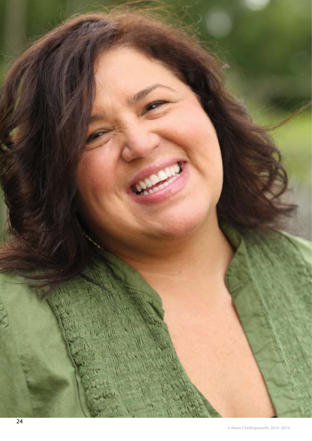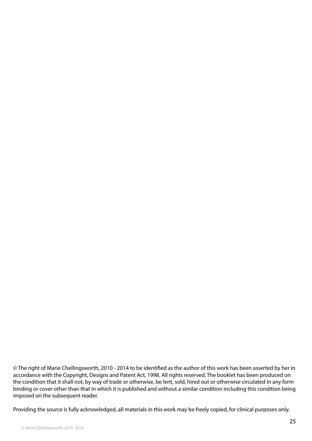© The right of Marie Chellingsworth, 2010 - 2014 to be identified as the author of this work has been asserted by her in accordance with the Copyright, Designs and Patent Act, 1998. All rights reserved. The booklet has been produced on the condition that it shall not, by way of trade or otherwise, be lent, sold, hired out or otherwise circulated in any form binding or cover other than that in which it is published and without a similar condition including this condition being imposed on the subsequent reader.

Providing the source is fully acknowledged, all materials in this work may be freely copied, for clinical purposes only.